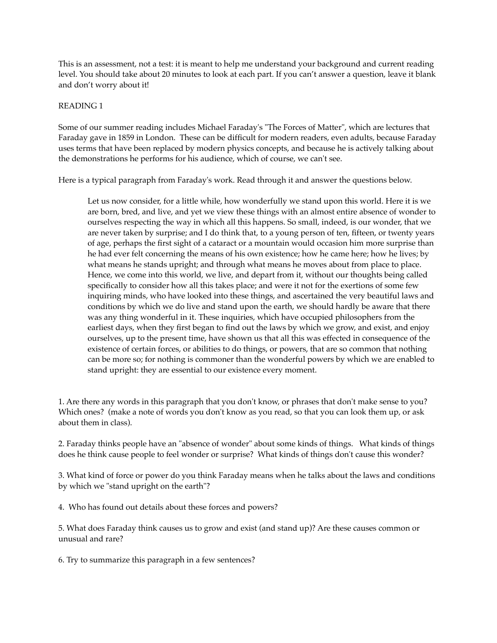This is an assessment, not a test: it is meant to help me understand your background and current reading level. You should take about 20 minutes to look at each part. If you can't answer a question, leave it blank and don't worry about it!

## READING 1

Some of our summer reading includes Michael Faraday's "The Forces of Matter", which are lectures that Faraday gave in 1859 in London. These can be difficult for modern readers, even adults, because Faraday uses terms that have been replaced by modern physics concepts, and because he is actively talking about the demonstrations he performs for his audience, which of course, we can't see.

Here is a typical paragraph from Faraday's work. Read through it and answer the questions below.

Let us now consider, for a little while, how wonderfully we stand upon this world. Here it is we are born, bred, and live, and yet we view these things with an almost entire absence of wonder to ourselves respecting the way in which all this happens. So small, indeed, is our wonder, that we are never taken by surprise; and I do think that, to a young person of ten, fifteen, or twenty years of age, perhaps the first sight of a cataract or a mountain would occasion him more surprise than he had ever felt concerning the means of his own existence; how he came here; how he lives; by what means he stands upright; and through what means he moves about from place to place. Hence, we come into this world, we live, and depart from it, without our thoughts being called specifically to consider how all this takes place; and were it not for the exertions of some few inquiring minds, who have looked into these things, and ascertained the very beautiful laws and conditions by which we do live and stand upon the earth, we should hardly be aware that there was any thing wonderful in it. These inquiries, which have occupied philosophers from the earliest days, when they first began to find out the laws by which we grow, and exist, and enjoy ourselves, up to the present time, have shown us that all this was effected in consequence of the existence of certain forces, or abilities to do things, or powers, that are so common that nothing can be more so; for nothing is commoner than the wonderful powers by which we are enabled to stand upright: they are essential to our existence every moment.

1. Are there any words in this paragraph that you don't know, or phrases that don't make sense to you? Which ones? (make a note of words you don't know as you read, so that you can look them up, or ask about them in class).

2. Faraday thinks people have an "absence of wonder" about some kinds of things. What kinds of things does he think cause people to feel wonder or surprise? What kinds of things don't cause this wonder?

3. What kind of force or power do you think Faraday means when he talks about the laws and conditions by which we "stand upright on the earth"?

4. Who has found out details about these forces and powers?

5. What does Faraday think causes us to grow and exist (and stand up)? Are these causes common or unusual and rare?

6. Try to summarize this paragraph in a few sentences?